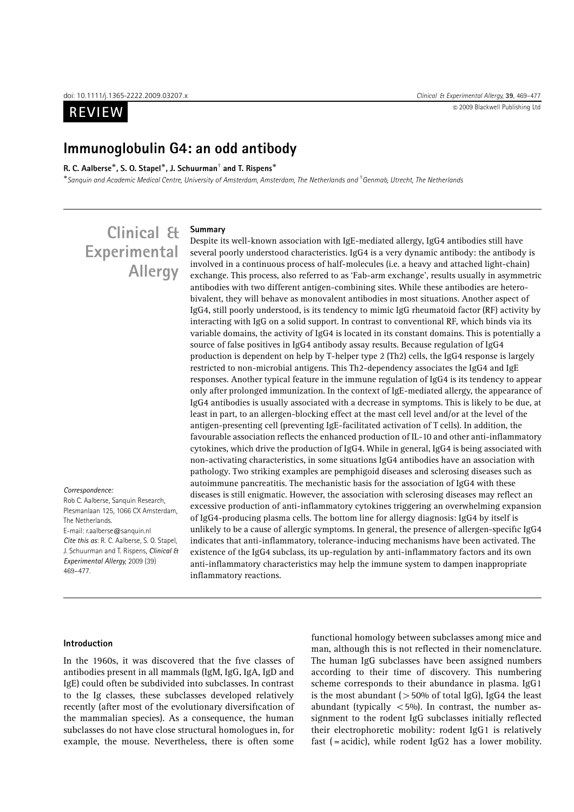**REVIEW** 



## Immunoglobulin G4: an odd antibody

#### R. C. Aalberse\*, S. O. Stapel\*, J. Schuurman<sup>†</sup> and T. Rispens\*

 $^*$ Sanquin and Academic Medical Centre, University of Amsterdam, Amsterdam, The Netherlands and <sup>†</sup> Genmab, Utrecht, The Netherlands

# Clinical & Experimental Allergy

Rob C. Aalberse, Sanquin Research, Plesmanlaan 125, 1066 CX Amsterdam, The Netherlands. E-mail: r.aalberse@sanquin.nl Cite this as: R. C. Aalberse, S. O. Stapel,

Correspondence:

J. Schuurman and T. Rispens, Clinical & Experimental Allergy, 2009 (39) 469–477.

## Summary

Despite its well-known association with IgE-mediated allergy, IgG4 antibodies still have several poorly understood characteristics. IgG4 is a very dynamic antibody: the antibody is involved in a continuous process of half-molecules (i.e. a heavy and attached light-chain) exchange. This process, also referred to as 'Fab-arm exchange', results usually in asymmetric antibodies with two different antigen-combining sites. While these antibodies are heterobivalent, they will behave as monovalent antibodies in most situations. Another aspect of IgG4, still poorly understood, is its tendency to mimic IgG rheumatoid factor (RF) activity by interacting with IgG on a solid support. In contrast to conventional RF, which binds via its variable domains, the activity of IgG4 is located in its constant domains. This is potentially a source of false positives in IgG4 antibody assay results. Because regulation of IgG4 production is dependent on help by T-helper type 2 (Th2) cells, the IgG4 response is largely restricted to non-microbial antigens. This Th2-dependency associates the IgG4 and IgE responses. Another typical feature in the immune regulation of IgG4 is its tendency to appear only after prolonged immunization. In the context of IgE-mediated allergy, the appearance of IgG4 antibodies is usually associated with a decrease in symptoms. This is likely to be due, at least in part, to an allergen-blocking effect at the mast cell level and/or at the level of the antigen-presenting cell (preventing IgE-facilitated activation of T cells). In addition, the favourable association reflects the enhanced production of IL-10 and other anti-inflammatory cytokines, which drive the production of IgG4. While in general, IgG4 is being associated with non-activating characteristics, in some situations IgG4 antibodies have an association with pathology. Two striking examples are pemphigoid diseases and sclerosing diseases such as autoimmune pancreatitis. The mechanistic basis for the association of IgG4 with these diseases is still enigmatic. However, the association with sclerosing diseases may reflect an excessive production of anti-inflammatory cytokines triggering an overwhelming expansion of IgG4-producing plasma cells. The bottom line for allergy diagnosis: IgG4 by itself is unlikely to be a cause of allergic symptoms. In general, the presence of allergen-specific IgG4 indicates that anti-inflammatory, tolerance-inducing mechanisms have been activated. The existence of the IgG4 subclass, its up-regulation by anti-inflammatory factors and its own anti-inflammatory characteristics may help the immune system to dampen inappropriate inflammatory reactions.

#### Introduction

In the 1960s, it was discovered that the five classes of antibodies present in all mammals (IgM, IgG, IgA, IgD and IgE) could often be subdivided into subclasses. In contrast to the Ig classes, these subclasses developed relatively recently (after most of the evolutionary diversification of the mammalian species). As a consequence, the human subclasses do not have close structural homologues in, for example, the mouse. Nevertheless, there is often some

functional homology between subclasses among mice and man, although this is not reflected in their nomenclature. The human IgG subclasses have been assigned numbers according to their time of discovery. This numbering scheme corresponds to their abundance in plasma. IgG1 is the most abundant ( $>50\%$  of total IgG), IgG4 the least abundant (typically  $\langle 5\%$ ). In contrast, the number assignment to the rodent IgG subclasses initially reflected their electrophoretic mobility: rodent IgG1 is relatively fast (= acidic), while rodent IgG2 has a lower mobility.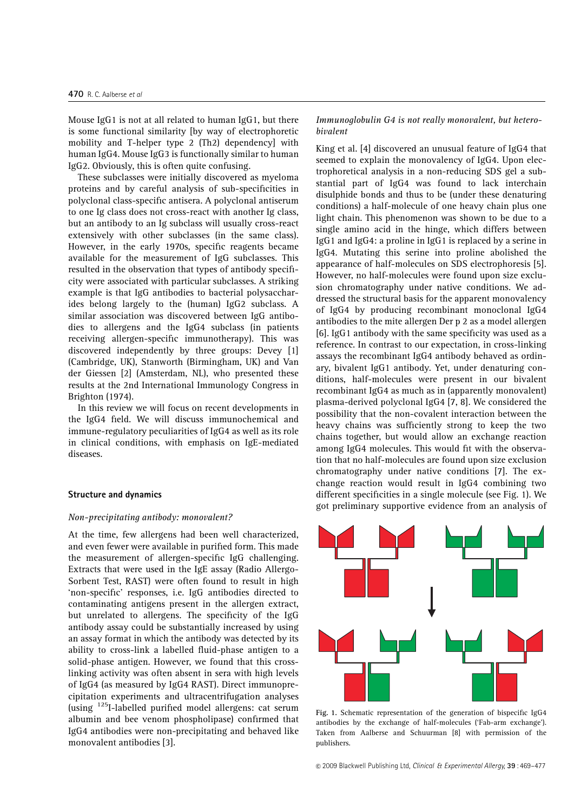Mouse IgG1 is not at all related to human IgG1, but there is some functional similarity [by way of electrophoretic mobility and T-helper type 2 (Th2) dependency] with human IgG4. Mouse IgG3 is functionally similar to human IgG2. Obviously, this is often quite confusing.

These subclasses were initially discovered as myeloma proteins and by careful analysis of sub-specificities in polyclonal class-specific antisera. A polyclonal antiserum to one Ig class does not cross-react with another Ig class, but an antibody to an Ig subclass will usually cross-react extensively with other subclasses (in the same class). However, in the early 1970s, specific reagents became available for the measurement of IgG subclasses. This resulted in the observation that types of antibody specificity were associated with particular subclasses. A striking example is that IgG antibodies to bacterial polysaccharides belong largely to the (human) IgG2 subclass. A similar association was discovered between IgG antibodies to allergens and the IgG4 subclass (in patients receiving allergen-specific immunotherapy). This was discovered independently by three groups: Devey [1] (Cambridge, UK), Stanworth (Birmingham, UK) and Van der Giessen [2] (Amsterdam, NL), who presented these results at the 2nd International Immunology Congress in Brighton (1974).

In this review we will focus on recent developments in the IgG4 field. We will discuss immunochemical and immune-regulatory peculiarities of IgG4 as well as its role in clinical conditions, with emphasis on IgE-mediated diseases.

#### Structure and dynamics

#### Non-precipitating antibody: monovalent?

At the time, few allergens had been well characterized, and even fewer were available in purified form. This made the measurement of allergen-specific IgG challenging. Extracts that were used in the IgE assay (Radio Allergo-Sorbent Test, RAST) were often found to result in high 'non-specific' responses, i.e. IgG antibodies directed to contaminating antigens present in the allergen extract, but unrelated to allergens. The specificity of the IgG antibody assay could be substantially increased by using an assay format in which the antibody was detected by its ability to cross-link a labelled fluid-phase antigen to a solid-phase antigen. However, we found that this crosslinking activity was often absent in sera with high levels of IgG4 (as measured by IgG4 RAST). Direct immunoprecipitation experiments and ultracentrifugation analyses (using 125I-labelled purified model allergens: cat serum albumin and bee venom phospholipase) confirmed that IgG4 antibodies were non-precipitating and behaved like monovalent antibodies [3].

## Immunoglobulin G4 is not really monovalent, but heterobivalent

King et al. [4] discovered an unusual feature of IgG4 that seemed to explain the monovalency of IgG4. Upon electrophoretical analysis in a non-reducing SDS gel a substantial part of IgG4 was found to lack interchain disulphide bonds and thus to be (under these denaturing conditions) a half-molecule of one heavy chain plus one light chain. This phenomenon was shown to be due to a single amino acid in the hinge, which differs between IgG1 and IgG4: a proline in IgG1 is replaced by a serine in IgG4. Mutating this serine into proline abolished the appearance of half-molecules on SDS electrophoresis [5]. However, no half-molecules were found upon size exclusion chromatography under native conditions. We addressed the structural basis for the apparent monovalency of IgG4 by producing recombinant monoclonal IgG4 antibodies to the mite allergen Der p 2 as a model allergen [6]. IgG1 antibody with the same specificity was used as a reference. In contrast to our expectation, in cross-linking assays the recombinant IgG4 antibody behaved as ordinary, bivalent IgG1 antibody. Yet, under denaturing conditions, half-molecules were present in our bivalent recombinant IgG4 as much as in (apparently monovalent) plasma-derived polyclonal IgG4 [7, 8]. We considered the possibility that the non-covalent interaction between the heavy chains was sufficiently strong to keep the two chains together, but would allow an exchange reaction among IgG4 molecules. This would fit with the observation that no half-molecules are found upon size exclusion chromatography under native conditions [7]. The exchange reaction would result in IgG4 combining two different specificities in a single molecule (see Fig. 1). We got preliminary supportive evidence from an analysis of



Fig. 1. Schematic representation of the generation of bispecific IgG4 antibodies by the exchange of half-molecules ('Fab-arm exchange'). Taken from Aalberse and Schuurman [8] with permission of the publishers.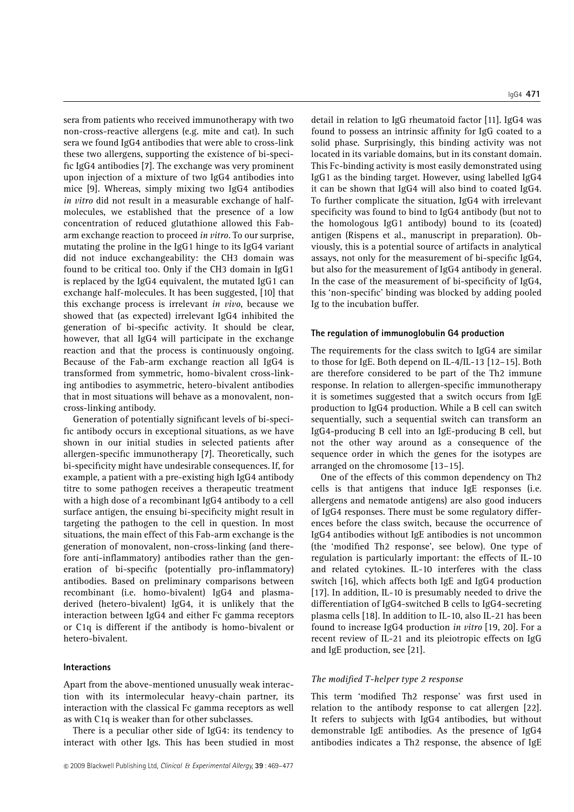IgG4 471

sera from patients who received immunotherapy with two non-cross-reactive allergens (e.g. mite and cat). In such sera we found IgG4 antibodies that were able to cross-link these two allergens, supporting the existence of bi-specific IgG4 antibodies [7]. The exchange was very prominent upon injection of a mixture of two IgG4 antibodies into mice [9]. Whereas, simply mixing two IgG4 antibodies in vitro did not result in a measurable exchange of halfmolecules, we established that the presence of a low concentration of reduced glutathione allowed this Fabarm exchange reaction to proceed in vitro. To our surprise, mutating the proline in the IgG1 hinge to its IgG4 variant did not induce exchangeability: the CH3 domain was found to be critical too. Only if the CH3 domain in IgG1 is replaced by the IgG4 equivalent, the mutated IgG1 can exchange half-molecules. It has been suggested, [10] that this exchange process is irrelevant in vivo, because we showed that (as expected) irrelevant IgG4 inhibited the generation of bi-specific activity. It should be clear, however, that all IgG4 will participate in the exchange reaction and that the process is continuously ongoing. Because of the Fab-arm exchange reaction all IgG4 is transformed from symmetric, homo-bivalent cross-linking antibodies to asymmetric, hetero-bivalent antibodies that in most situations will behave as a monovalent, noncross-linking antibody.

Generation of potentially significant levels of bi-specific antibody occurs in exceptional situations, as we have shown in our initial studies in selected patients after allergen-specific immunotherapy [7]. Theoretically, such bi-specificity might have undesirable consequences. If, for example, a patient with a pre-existing high IgG4 antibody titre to some pathogen receives a therapeutic treatment with a high dose of a recombinant IgG4 antibody to a cell surface antigen, the ensuing bi-specificity might result in targeting the pathogen to the cell in question. In most situations, the main effect of this Fab-arm exchange is the generation of monovalent, non-cross-linking (and therefore anti-inflammatory) antibodies rather than the generation of bi-specific (potentially pro-inflammatory) antibodies. Based on preliminary comparisons between recombinant (i.e. homo-bivalent) IgG4 and plasmaderived (hetero-bivalent) IgG4, it is unlikely that the interaction between IgG4 and either Fc gamma receptors or C1q is different if the antibody is homo-bivalent or hetero-bivalent.

## Interactions

Apart from the above-mentioned unusually weak interaction with its intermolecular heavy-chain partner, its interaction with the classical Fc gamma receptors as well as with C1q is weaker than for other subclasses.

There is a peculiar other side of IgG4: its tendency to interact with other Igs. This has been studied in most

detail in relation to IgG rheumatoid factor [11]. IgG4 was found to possess an intrinsic affinity for IgG coated to a solid phase. Surprisingly, this binding activity was not located in its variable domains, but in its constant domain. This Fc-binding activity is most easily demonstrated using IgG1 as the binding target. However, using labelled IgG4 it can be shown that IgG4 will also bind to coated IgG4. To further complicate the situation, IgG4 with irrelevant specificity was found to bind to IgG4 antibody (but not to the homologous IgG1 antibody) bound to its (coated) antigen (Rispens et al., manuscript in preparation). Obviously, this is a potential source of artifacts in analytical assays, not only for the measurement of bi-specific IgG4, but also for the measurement of IgG4 antibody in general. In the case of the measurement of bi-specificity of IgG4, this 'non-specific' binding was blocked by adding pooled Ig to the incubation buffer.

#### The regulation of immunoglobulin G4 production

The requirements for the class switch to IgG4 are similar to those for IgE. Both depend on IL-4/IL-13 [12–15]. Both are therefore considered to be part of the Th2 immune response. In relation to allergen-specific immunotherapy it is sometimes suggested that a switch occurs from IgE production to IgG4 production. While a B cell can switch sequentially, such a sequential switch can transform an IgG4-producing B cell into an IgE-producing B cell, but not the other way around as a consequence of the sequence order in which the genes for the isotypes are arranged on the chromosome [13–15].

One of the effects of this common dependency on Th2 cells is that antigens that induce IgE responses (i.e. allergens and nematode antigens) are also good inducers of IgG4 responses. There must be some regulatory differences before the class switch, because the occurrence of IgG4 antibodies without IgE antibodies is not uncommon (the 'modified Th2 response', see below). One type of regulation is particularly important: the effects of IL-10 and related cytokines. IL-10 interferes with the class switch [16], which affects both IgE and IgG4 production [17]. In addition, IL-10 is presumably needed to drive the differentiation of IgG4-switched B cells to IgG4-secreting plasma cells [18]. In addition to IL-10, also IL-21 has been found to increase IgG4 production in vitro [19, 20]. For a recent review of IL-21 and its pleiotropic effects on IgG and IgE production, see [21].

## The modified T-helper type 2 response

This term 'modified Th2 response' was first used in relation to the antibody response to cat allergen [22]. It refers to subjects with IgG4 antibodies, but without demonstrable IgE antibodies. As the presence of IgG4 antibodies indicates a Th2 response, the absence of IgE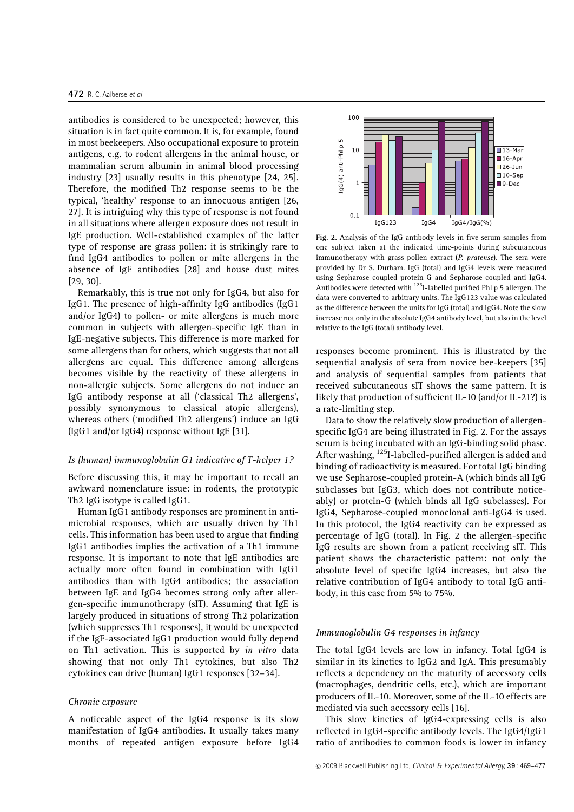antibodies is considered to be unexpected; however, this situation is in fact quite common. It is, for example, found in most beekeepers. Also occupational exposure to protein antigens, e.g. to rodent allergens in the animal house, or mammalian serum albumin in animal blood processing industry [23] usually results in this phenotype [24, 25]. Therefore, the modified Th2 response seems to be the typical, 'healthy' response to an innocuous antigen [26, 27]. It is intriguing why this type of response is not found in all situations where allergen exposure does not result in IgE production. Well-established examples of the latter type of response are grass pollen: it is strikingly rare to find IgG4 antibodies to pollen or mite allergens in the absence of IgE antibodies [28] and house dust mites [29, 30].

Remarkably, this is true not only for IgG4, but also for IgG1. The presence of high-affinity IgG antibodies (IgG1 and/or IgG4) to pollen- or mite allergens is much more common in subjects with allergen-specific IgE than in IgE-negative subjects. This difference is more marked for some allergens than for others, which suggests that not all allergens are equal. This difference among allergens becomes visible by the reactivity of these allergens in non-allergic subjects. Some allergens do not induce an IgG antibody response at all ('classical Th2 allergens', possibly synonymous to classical atopic allergens), whereas others ('modified Th2 allergens') induce an IgG (IgG1 and/or IgG4) response without IgE [31].

#### Is (human) immunoglobulin G1 indicative of T-helper 1?

Before discussing this, it may be important to recall an awkward nomenclature issue: in rodents, the prototypic Th2 IgG isotype is called IgG1.

Human IgG1 antibody responses are prominent in antimicrobial responses, which are usually driven by Th1 cells. This information has been used to argue that finding IgG1 antibodies implies the activation of a Th1 immune response. It is important to note that IgE antibodies are actually more often found in combination with IgG1 antibodies than with IgG4 antibodies; the association between IgE and IgG4 becomes strong only after allergen-specific immunotherapy (sIT). Assuming that IgE is largely produced in situations of strong Th2 polarization (which suppresses Th1 responses), it would be unexpected if the IgE-associated IgG1 production would fully depend on Th1 activation. This is supported by in vitro data showing that not only Th1 cytokines, but also Th2 cytokines can drive (human) IgG1 responses [32–34].

#### Chronic exposure

A noticeable aspect of the IgG4 response is its slow manifestation of IgG4 antibodies. It usually takes many months of repeated antigen exposure before IgG4



Fig. 2. Analysis of the IgG antibody levels in five serum samples from one subject taken at the indicated time-points during subcutaneous immunotherapy with grass pollen extract  $(P.$  pratense). The sera were provided by Dr S. Durham. IgG (total) and IgG4 levels were measured using Sepharose-coupled protein G and Sepharose-coupled anti-IgG4. Antibodies were detected with <sup>125</sup>I-labelled purified Phl p 5 allergen. The data were converted to arbitrary units. The IgG123 value was calculated as the difference between the units for IgG (total) and IgG4. Note the slow increase not only in the absolute IgG4 antibody level, but also in the level relative to the IgG (total) antibody level.

responses become prominent. This is illustrated by the sequential analysis of sera from novice bee-keepers [35] and analysis of sequential samples from patients that received subcutaneous sIT shows the same pattern. It is likely that production of sufficient IL-10 (and/or IL-21?) is a rate-limiting step.

Data to show the relatively slow production of allergenspecific IgG4 are being illustrated in Fig. 2. For the assays serum is being incubated with an IgG-binding solid phase. After washing, <sup>125</sup>I-labelled-purified allergen is added and binding of radioactivity is measured. For total IgG binding we use Sepharose-coupled protein-A (which binds all IgG subclasses but IgG3, which does not contribute noticeably) or protein-G (which binds all IgG subclasses). For IgG4, Sepharose-coupled monoclonal anti-IgG4 is used. In this protocol, the IgG4 reactivity can be expressed as percentage of IgG (total). In Fig. 2 the allergen-specific IgG results are shown from a patient receiving sIT. This patient shows the characteristic pattern: not only the absolute level of specific IgG4 increases, but also the relative contribution of IgG4 antibody to total IgG antibody, in this case from 5% to 75%.

#### Immunoglobulin G4 responses in infancy

The total IgG4 levels are low in infancy. Total IgG4 is similar in its kinetics to IgG2 and IgA. This presumably reflects a dependency on the maturity of accessory cells (macrophages, dendritic cells, etc.), which are important producers of IL-10. Moreover, some of the IL-10 effects are mediated via such accessory cells [16].

This slow kinetics of IgG4-expressing cells is also reflected in IgG4-specific antibody levels. The IgG4/IgG1 ratio of antibodies to common foods is lower in infancy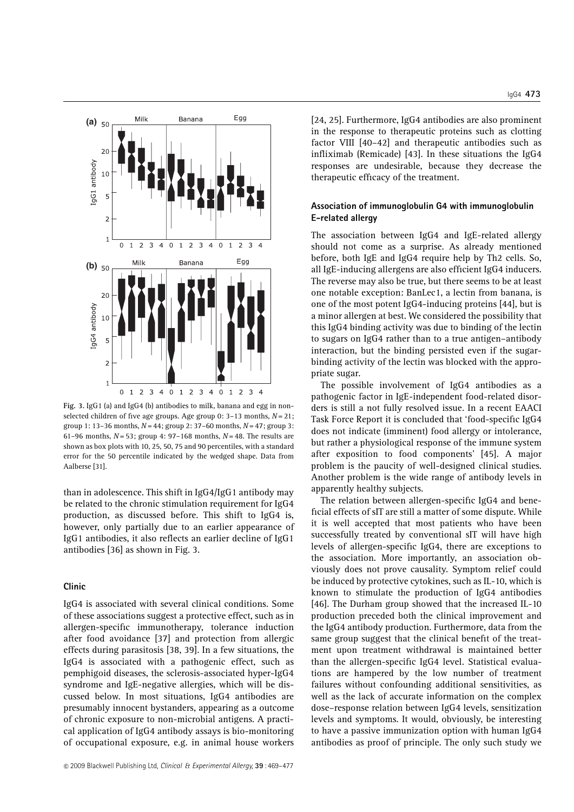

Fig. 3. IgG1 (a) and IgG4 (b) antibodies to milk, banana and egg in nonselected children of five age groups. Age group 0:  $3-13$  months,  $N=21$ ; group 1: 13-36 months,  $N = 44$ ; group 2: 37-60 months,  $N = 47$ ; group 3: 61–96 months,  $N = 53$ ; group 4: 97–168 months,  $N = 48$ . The results are shown as box plots with 10, 25, 50, 75 and 90 percentiles, with a standard error for the 50 percentile indicated by the wedged shape. Data from Aalberse [31].

than in adolescence. This shift in IgG4/IgG1 antibody may be related to the chronic stimulation requirement for IgG4 production, as discussed before. This shift to IgG4 is, however, only partially due to an earlier appearance of IgG1 antibodies, it also reflects an earlier decline of IgG1 antibodies [36] as shown in Fig. 3.

#### Clinic

IgG4 is associated with several clinical conditions. Some of these associations suggest a protective effect, such as in allergen-specific immunotherapy, tolerance induction after food avoidance [37] and protection from allergic effects during parasitosis [38, 39]. In a few situations, the IgG4 is associated with a pathogenic effect, such as pemphigoid diseases, the sclerosis-associated hyper-IgG4 syndrome and IgE-negative allergies, which will be discussed below. In most situations, IgG4 antibodies are presumably innocent bystanders, appearing as a outcome of chronic exposure to non-microbial antigens. A practical application of IgG4 antibody assays is bio-monitoring of occupational exposure, e.g. in animal house workers [24, 25]. Furthermore, IgG4 antibodies are also prominent in the response to therapeutic proteins such as clotting factor VIII [40–42] and therapeutic antibodies such as infliximab (Remicade) [43]. In these situations the IgG4 responses are undesirable, because they decrease the therapeutic efficacy of the treatment.

## Association of immunoglobulin G4 with immunoglobulin E-related allergy

The association between IgG4 and IgE-related allergy should not come as a surprise. As already mentioned before, both IgE and IgG4 require help by Th2 cells. So, all IgE-inducing allergens are also efficient IgG4 inducers. The reverse may also be true, but there seems to be at least one notable exception: BanLec1, a lectin from banana, is one of the most potent IgG4-inducing proteins [44], but is a minor allergen at best. We considered the possibility that this IgG4 binding activity was due to binding of the lectin to sugars on IgG4 rather than to a true antigen–antibody interaction, but the binding persisted even if the sugarbinding activity of the lectin was blocked with the appropriate sugar.

The possible involvement of IgG4 antibodies as a pathogenic factor in IgE-independent food-related disorders is still a not fully resolved issue. In a recent EAACI Task Force Report it is concluded that 'food-specific IgG4 does not indicate (imminent) food allergy or intolerance, but rather a physiological response of the immune system after exposition to food components' [45]. A major problem is the paucity of well-designed clinical studies. Another problem is the wide range of antibody levels in apparently healthy subjects.

The relation between allergen-specific IgG4 and beneficial effects of sIT are still a matter of some dispute. While it is well accepted that most patients who have been successfully treated by conventional sIT will have high levels of allergen-specific IgG4, there are exceptions to the association. More importantly, an association obviously does not prove causality. Symptom relief could be induced by protective cytokines, such as IL-10, which is known to stimulate the production of IgG4 antibodies [46]. The Durham group showed that the increased IL-10 production preceded both the clinical improvement and the IgG4 antibody production. Furthermore, data from the same group suggest that the clinical benefit of the treatment upon treatment withdrawal is maintained better than the allergen-specific IgG4 level. Statistical evaluations are hampered by the low number of treatment failures without confounding additional sensitivities, as well as the lack of accurate information on the complex dose–response relation between IgG4 levels, sensitization levels and symptoms. It would, obviously, be interesting to have a passive immunization option with human IgG4 antibodies as proof of principle. The only such study we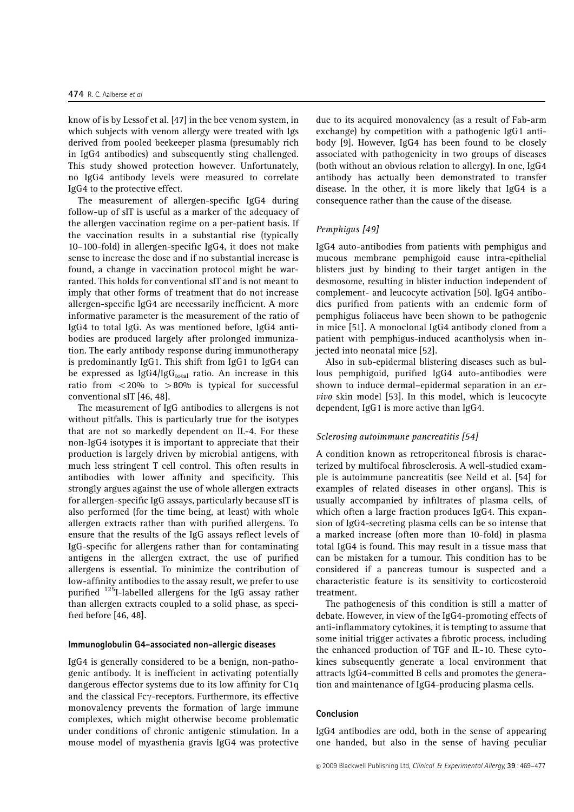know of is by Lessof et al. [47] in the bee venom system, in which subjects with venom allergy were treated with Igs derived from pooled beekeeper plasma (presumably rich in IgG4 antibodies) and subsequently sting challenged. This study showed protection however. Unfortunately, no IgG4 antibody levels were measured to correlate IgG4 to the protective effect.

The measurement of allergen-specific IgG4 during follow-up of sIT is useful as a marker of the adequacy of the allergen vaccination regime on a per-patient basis. If the vaccination results in a substantial rise (typically 10–100-fold) in allergen-specific IgG4, it does not make sense to increase the dose and if no substantial increase is found, a change in vaccination protocol might be warranted. This holds for conventional sIT and is not meant to imply that other forms of treatment that do not increase allergen-specific IgG4 are necessarily inefficient. A more informative parameter is the measurement of the ratio of IgG4 to total IgG. As was mentioned before, IgG4 antibodies are produced largely after prolonged immunization. The early antibody response during immunotherapy is predominantly IgG1. This shift from IgG1 to IgG4 can be expressed as IgG4/IgGtotal ratio. An increase in this ratio from  $\langle 20\%$  to  $> 80\%$  is typical for successful conventional sIT [46, 48].

The measurement of IgG antibodies to allergens is not without pitfalls. This is particularly true for the isotypes that are not so markedly dependent on IL-4. For these non-IgG4 isotypes it is important to appreciate that their production is largely driven by microbial antigens, with much less stringent T cell control. This often results in antibodies with lower affinity and specificity. This strongly argues against the use of whole allergen extracts for allergen-specific IgG assays, particularly because sIT is also performed (for the time being, at least) with whole allergen extracts rather than with purified allergens. To ensure that the results of the IgG assays reflect levels of IgG-specific for allergens rather than for contaminating antigens in the allergen extract, the use of purified allergens is essential. To minimize the contribution of low-affinity antibodies to the assay result, we prefer to use purified  $125$ I-labelled allergens for the IgG assay rather than allergen extracts coupled to a solid phase, as specified before [46, 48].

#### Immunoglobulin G4-associated non-allergic diseases

IgG4 is generally considered to be a benign, non-pathogenic antibody. It is inefficient in activating potentially dangerous effector systems due to its low affinity for C1q and the classical Fc $\gamma$ -receptors. Furthermore, its effective monovalency prevents the formation of large immune complexes, which might otherwise become problematic under conditions of chronic antigenic stimulation. In a mouse model of myasthenia gravis IgG4 was protective

due to its acquired monovalency (as a result of Fab-arm exchange) by competition with a pathogenic IgG1 antibody [9]. However, IgG4 has been found to be closely associated with pathogenicity in two groups of diseases (both without an obvious relation to allergy). In one, IgG4 antibody has actually been demonstrated to transfer disease. In the other, it is more likely that IgG4 is a consequence rather than the cause of the disease.

#### Pemphigus [49]

IgG4 auto-antibodies from patients with pemphigus and mucous membrane pemphigoid cause intra-epithelial blisters just by binding to their target antigen in the desmosome, resulting in blister induction independent of complement- and leucocyte activation [50]. IgG4 antibodies purified from patients with an endemic form of pemphigus foliaceus have been shown to be pathogenic in mice [51]. A monoclonal IgG4 antibody cloned from a patient with pemphigus-induced acantholysis when injected into neonatal mice [52].

Also in sub-epidermal blistering diseases such as bullous pemphigoid, purified IgG4 auto-antibodies were shown to induce dermal–epidermal separation in an exvivo skin model [53]. In this model, which is leucocyte dependent, IgG1 is more active than IgG4.

#### Sclerosing autoimmune pancreatitis [54]

A condition known as retroperitoneal fibrosis is characterized by multifocal fibrosclerosis. A well-studied example is autoimmune pancreatitis (see Neild et al. [54] for examples of related diseases in other organs). This is usually accompanied by infiltrates of plasma cells, of which often a large fraction produces IgG4. This expansion of IgG4-secreting plasma cells can be so intense that a marked increase (often more than 10-fold) in plasma total IgG4 is found. This may result in a tissue mass that can be mistaken for a tumour. This condition has to be considered if a pancreas tumour is suspected and a characteristic feature is its sensitivity to corticosteroid treatment.

The pathogenesis of this condition is still a matter of debate. However, in view of the IgG4-promoting effects of anti-inflammatory cytokines, it is tempting to assume that some initial trigger activates a fibrotic process, including the enhanced production of TGF and IL-10. These cytokines subsequently generate a local environment that attracts IgG4-committed B cells and promotes the generation and maintenance of IgG4-producing plasma cells.

#### Conclusion

IgG4 antibodies are odd, both in the sense of appearing one handed, but also in the sense of having peculiar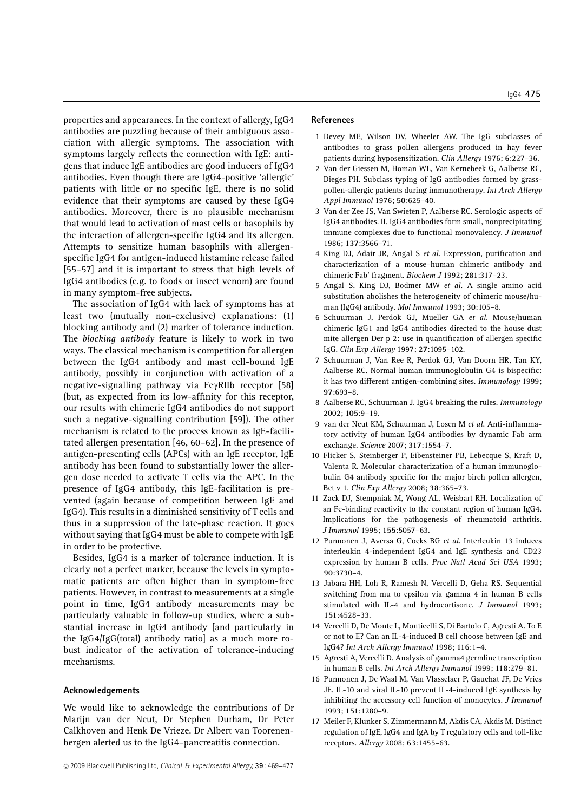properties and appearances. In the context of allergy, IgG4 antibodies are puzzling because of their ambiguous association with allergic symptoms. The association with symptoms largely reflects the connection with IgE: antigens that induce IgE antibodies are good inducers of IgG4 antibodies. Even though there are IgG4-positive 'allergic' patients with little or no specific IgE, there is no solid evidence that their symptoms are caused by these IgG4 antibodies. Moreover, there is no plausible mechanism that would lead to activation of mast cells or basophils by the interaction of allergen-specific IgG4 and its allergen. Attempts to sensitize human basophils with allergenspecific IgG4 for antigen-induced histamine release failed [55–57] and it is important to stress that high levels of IgG4 antibodies (e.g. to foods or insect venom) are found in many symptom-free subjects.

The association of IgG4 with lack of symptoms has at least two (mutually non-exclusive) explanations: (1) blocking antibody and (2) marker of tolerance induction. The blocking antibody feature is likely to work in two ways. The classical mechanism is competition for allergen between the IgG4 antibody and mast cell-bound IgE antibody, possibly in conjunction with activation of a negative-signalling pathway via  $Fc\gamma RIIb$  receptor [58] (but, as expected from its low-affinity for this receptor, our results with chimeric IgG4 antibodies do not support such a negative-signalling contribution [59]). The other mechanism is related to the process known as IgE-facilitated allergen presentation [46, 60–62]. In the presence of antigen-presenting cells (APCs) with an IgE receptor, IgE antibody has been found to substantially lower the allergen dose needed to activate T cells via the APC. In the presence of IgG4 antibody, this IgE-facilitation is prevented (again because of competition between IgE and IgG4). This results in a diminished sensitivity of T cells and thus in a suppression of the late-phase reaction. It goes without saying that IgG4 must be able to compete with IgE in order to be protective.

Besides, IgG4 is a marker of tolerance induction. It is clearly not a perfect marker, because the levels in symptomatic patients are often higher than in symptom-free patients. However, in contrast to measurements at a single point in time, IgG4 antibody measurements may be particularly valuable in follow-up studies, where a substantial increase in IgG4 antibody [and particularly in the IgG4/IgG(total) antibody ratio] as a much more robust indicator of the activation of tolerance-inducing mechanisms.

### Acknowledgements

We would like to acknowledge the contributions of Dr Marijn van der Neut, Dr Stephen Durham, Dr Peter Calkhoven and Henk De Vrieze. Dr Albert van Toorenenbergen alerted us to the IgG4–pancreatitis connection.

## References

- 1 Devey ME, Wilson DV, Wheeler AW. The IgG subclasses of antibodies to grass pollen allergens produced in hay fever patients during hyposensitization. Clin Allergy 1976; 6:227–36.
- 2 Van der Giessen M, Homan WL, Van Kernebeek G, Aalberse RC, Dieges PH. Subclass typing of IgG antibodies formed by grasspollen-allergic patients during immunotherapy. Int Arch Allergy Appl Immunol 1976; 50:625–40.
- 3 Van der Zee JS, Van Swieten P, Aalberse RC. Serologic aspects of IgG4 antibodies. II. IgG4 antibodies form small, nonprecipitating immune complexes due to functional monovalency. J Immunol 1986; 137:3566–71.
- 4 King DJ, Adair JR, Angal S et al. Expression, purification and characterization of a mouse–human chimeric antibody and chimeric Fab' fragment. Biochem J 1992; 281:317–23.
- 5 Angal S, King DJ, Bodmer MW et al. A single amino acid substitution abolishes the heterogeneity of chimeric mouse/human (IgG4) antibody. Mol Immunol 1993; 30:105–8.
- 6 Schuurman J, Perdok GJ, Mueller GA et al. Mouse/human chimeric IgG1 and IgG4 antibodies directed to the house dust mite allergen Der p 2: use in quantification of allergen specific IgG. Clin Exp Allergy 1997; 27:1095–102.
- 7 Schuurman J, Van Ree R, Perdok GJ, Van Doorn HR, Tan KY, Aalberse RC. Normal human immunoglobulin G4 is bispecific: it has two different antigen-combining sites. Immunology 1999; 97:693–8.
- 8 Aalberse RC, Schuurman J. IgG4 breaking the rules. Immunology 2002; 105:9–19.
- 9 van der Neut KM, Schuurman J, Losen M et al. Anti-inflammatory activity of human IgG4 antibodies by dynamic Fab arm exchange. Science 2007; 317:1554–7.
- 10 Flicker S, Steinberger P, Eibensteiner PB, Lebecque S, Kraft D, Valenta R. Molecular characterization of a human immunoglobulin G4 antibody specific for the major birch pollen allergen, Bet v 1. Clin Exp Allergy 2008; 38:365–73.
- 11 Zack DJ, Stempniak M, Wong AL, Weisbart RH. Localization of an Fc-binding reactivity to the constant region of human IgG4. Implications for the pathogenesis of rheumatoid arthritis. J Immunol 1995; 155:5057–63.
- 12 Punnonen J, Aversa G, Cocks BG et al. Interleukin 13 induces interleukin 4-independent IgG4 and IgE synthesis and CD23 expression by human B cells. Proc Natl Acad Sci USA 1993; 90:3730–4.
- 13 Jabara HH, Loh R, Ramesh N, Vercelli D, Geha RS. Sequential switching from mu to epsilon via gamma 4 in human B cells stimulated with IL-4 and hydrocortisone. J Immunol 1993; 151:4528–33.
- 14 Vercelli D, De Monte L, Monticelli S, Di Bartolo C, Agresti A. To E or not to E? Can an IL-4-induced B cell choose between IgE and IgG4? Int Arch Allergy Immunol 1998; 116:1–4.
- 15 Agresti A, Vercelli D. Analysis of gamma4 germline transcription in human B cells. Int Arch Allergy Immunol 1999; 118:279–81.
- 16 Punnonen J, De Waal M, Van Vlasselaer P, Gauchat JF, De Vries JE. IL-10 and viral IL-10 prevent IL-4-induced IgE synthesis by inhibiting the accessory cell function of monocytes. J Immunol 1993; 151:1280–9.
- 17 Meiler F, Klunker S, Zimmermann M, Akdis CA, Akdis M. Distinct regulation of IgE, IgG4 and IgA by T regulatory cells and toll-like receptors. Allergy 2008; 63:1455–63.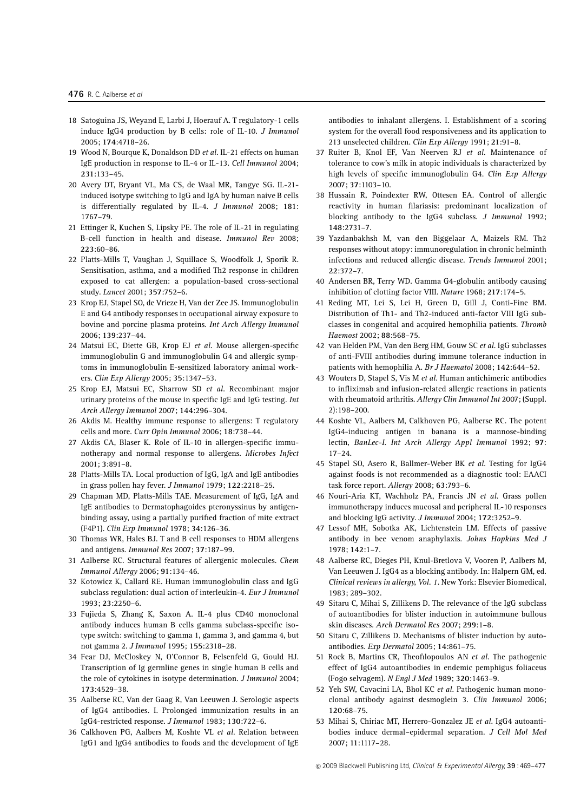- 18 Satoguina JS, Weyand E, Larbi J, Hoerauf A. T regulatory-1 cells induce IgG4 production by B cells: role of IL-10. J Immunol 2005; 174:4718–26.
- 19 Wood N, Bourque K, Donaldson DD et al. IL-21 effects on human IgE production in response to IL-4 or IL-13. Cell Immunol 2004; 231:133–45.
- 20 Avery DT, Bryant VL, Ma CS, de Waal MR, Tangye SG. IL-21 induced isotype switching to IgG and IgA by human naive B cells is differentially regulated by IL-4. J Immunol 2008; 181: 1767–79.
- 21 Ettinger R, Kuchen S, Lipsky PE. The role of IL-21 in regulating B-cell function in health and disease. Immunol Rev 2008; 223:60–86.
- 22 Platts-Mills T, Vaughan J, Squillace S, Woodfolk J, Sporik R. Sensitisation, asthma, and a modified Th2 response in children exposed to cat allergen: a population-based cross-sectional study. Lancet 2001; 357:752–6.
- 23 Krop EJ, Stapel SO, de Vrieze H, Van der Zee JS. Immunoglobulin E and G4 antibody responses in occupational airway exposure to bovine and porcine plasma proteins. Int Arch Allergy Immunol 2006; 139:237–44.
- 24 Matsui EC, Diette GB, Krop EJ et al. Mouse allergen-specific immunoglobulin G and immunoglobulin G4 and allergic symptoms in immunoglobulin E-sensitized laboratory animal workers. Clin Exp Allergy 2005; 35:1347–53.
- 25 Krop EJ, Matsui EC, Sharrow SD et al. Recombinant major urinary proteins of the mouse in specific IgE and IgG testing. Int Arch Allergy Immunol 2007; 144:296–304.
- 26 Akdis M. Healthy immune response to allergens: T regulatory cells and more. Curr Opin Immunol 2006; 18:738–44.
- 27 Akdis CA, Blaser K. Role of IL-10 in allergen-specific immunotherapy and normal response to allergens. Microbes Infect 2001; 3:891–8.
- 28 Platts-Mills TA. Local production of IgG, IgA and IgE antibodies in grass pollen hay fever. J Immunol 1979; 122:2218–25.
- 29 Chapman MD, Platts-Mills TAE. Measurement of IgG, IgA and IgE antibodies to Dermatophagoides pteronyssinus by antigenbinding assay, using a partially purified fraction of mite extract (F4P1). Clin Exp Immunol 1978; 34:126–36.
- 30 Thomas WR, Hales BJ. T and B cell responses to HDM allergens and antigens. Immunol Res 2007; 37:187–99.
- 31 Aalberse RC. Structural features of allergenic molecules. Chem Immunol Allergy 2006; 91:134–46.
- 32 Kotowicz K, Callard RE. Human immunoglobulin class and IgG subclass regulation: dual action of interleukin-4. Eur J Immunol 1993; 23:2250–6.
- 33 Fujieda S, Zhang K, Saxon A. IL-4 plus CD40 monoclonal antibody induces human B cells gamma subclass-specific isotype switch: switching to gamma 1, gamma 3, and gamma 4, but not gamma 2. J Immunol 1995; 155:2318–28.
- 34 Fear DJ, McCloskey N, O'Connor B, Felsenfeld G, Gould HJ. Transcription of Ig germline genes in single human B cells and the role of cytokines in isotype determination. J Immunol 2004; 173:4529–38.
- 35 Aalberse RC, Van der Gaag R, Van Leeuwen J. Serologic aspects of IgG4 antibodies. I. Prolonged immunization results in an IgG4-restricted response. J Immunol 1983; 130:722–6.
- 36 Calkhoven PG, Aalbers M, Koshte VL et al. Relation between IgG1 and IgG4 antibodies to foods and the development of IgE

antibodies to inhalant allergens. I. Establishment of a scoring system for the overall food responsiveness and its application to 213 unselected children. Clin Exp Allergy 1991; 21:91–8.

- 37 Ruiter B, Knol EF, Van Neerven RJ et al. Maintenance of tolerance to cow's milk in atopic individuals is characterized by high levels of specific immunoglobulin G4. Clin Exp Allergy 2007; 37:1103–10.
- 38 Hussain R, Poindexter RW, Ottesen EA. Control of allergic reactivity in human filariasis: predominant localization of blocking antibody to the IgG4 subclass. J Immunol 1992; 148:2731–7.
- 39 Yazdanbakhsh M, van den Biggelaar A, Maizels RM. Th2 responses without atopy: immunoregulation in chronic helminth infections and reduced allergic disease. Trends Immunol 2001; 22:372–7.
- 40 Andersen BR, Terry WD. Gamma G4-globulin antibody causing inhibition of clotting factor VIII. Nature 1968; 217:174–5.
- 41 Reding MT, Lei S, Lei H, Green D, Gill J, Conti-Fine BM. Distribution of Th1- and Th2-induced anti-factor VIII IgG subclasses in congenital and acquired hemophilia patients. Thromb Haemost 2002; 88:568–75.
- 42 van Helden PM, Van den Berg HM, Gouw SC et al. IgG subclasses of anti-FVIII antibodies during immune tolerance induction in patients with hemophilia A. Br J Haematol 2008; 142:644–52.
- 43 Wouters D, Stapel S, Vis M et al. Human antichimeric antibodies to infliximab and infusion-related allergic reactions in patients with rheumatoid arthritis. Allergy Clin Immunol Int 2007; (Suppl. 2):198–200.
- 44 Koshte VL, Aalbers M, Calkhoven PG, Aalberse RC. The potent IgG4-inducing antigen in banana is a mannose-binding lectin, BanLec-I. Int Arch Allergy Appl Immunol 1992; 97: 17–24.
- 45 Stapel SO, Asero R, Ballmer-Weber BK et al. Testing for IgG4 against foods is not recommended as a diagnostic tool: EAACI task force report. Allergy 2008; 63:793-6.
- 46 Nouri-Aria KT, Wachholz PA, Francis JN et al. Grass pollen immunotherapy induces mucosal and peripheral IL-10 responses and blocking IgG activity. J Immunol 2004; 172:3252–9.
- 47 Lessof MH, Sobotka AK, Lichtenstein LM. Effects of passive antibody in bee venom anaphylaxis. Johns Hopkins Med J 1978; 142:1–7.
- 48 Aalberse RC, Dieges PH, Knul-Bretlova V, Vooren P, Aalbers M, Van Leeuwen J. IgG4 as a blocking antibody. In: Halpern GM, ed. Clinical reviews in allergy, Vol. 1. New York: Elsevier Biomedical, 1983; 289–302.
- 49 Sitaru C, Mihai S, Zillikens D. The relevance of the IgG subclass of autoantibodies for blister induction in autoimmune bullous skin diseases. Arch Dermatol Res 2007; 299:1–8.
- 50 Sitaru C, Zillikens D. Mechanisms of blister induction by autoantibodies. Exp Dermatol 2005; 14:861–75.
- 51 Rock B, Martins CR, Theofilopoulos AN et al. The pathogenic effect of IgG4 autoantibodies in endemic pemphigus foliaceus (Fogo selvagem). N Engl J Med 1989; 320:1463–9.
- 52 Yeh SW, Cavacini LA, Bhol KC et al. Pathogenic human monoclonal antibody against desmoglein 3. Clin Immunol 2006; 120:68–75.
- 53 Mihai S, Chiriac MT, Herrero-Gonzalez JE et al. IgG4 autoantibodies induce dermal–epidermal separation. J Cell Mol Med 2007; 11:1117–28.